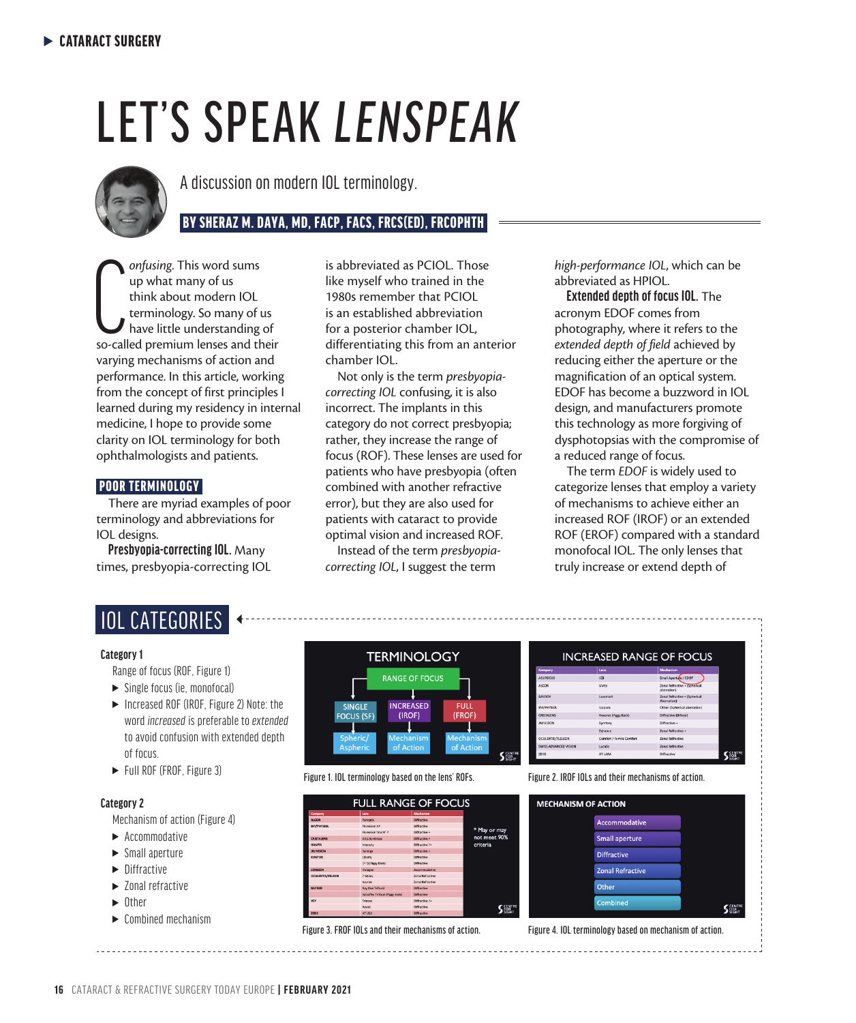# LET'S SPEAK *LENSPEAK*



A discussion on modern IOL terminology.

## BY SHERAZ M. DAYA, MD, FACP, FACS, FRCS(ED), FRCOPHTH

**CALL** On This word sums<br>
up what many of us<br>
think about modern IOL<br>
terminology. So many of us<br>
have little understanding of<br>
so-called premium lenses and their *onfusing*. This word sums up what many of us think about modern IOL terminology. So many of us have little understanding of varying mechanisms of action and performance. In this article, working from the concept of first principles I learned during my residency in internal medicine, I hope to provide some clarity on IOL terminology for both ophthalmologists and patients.

#### POOR TERMINOLOGY

There are myriad examples of poor terminology and abbreviations for IOL designs.

**Presbyopia-correcting IOL.** Many times, presbyopia-correcting IOL is abbreviated as PCIOL. Those like myself who trained in the 1980s remember that PCIOL is an established abbreviation for a posterior chamber IOL, differentiating this from an anterior chamber IOL.

Not only is the term *presbyopiacorrecting IOL* confusing, it is also incorrect. The implants in this category do not correct presbyopia; rather, they increase the range of focus (ROF). These lenses are used for patients who have presbyopia (often combined with another refractive error), but they are also used for patients with cataract to provide optimal vision and increased ROF.

Instead of the term *presbyopiacorrecting IOL*, I suggest the term

*high-performance IOL*, which can be abbreviated as HPIOL.

**Extended depth of focus IOL.** The acronym EDOF comes from photography, where it refers to the *extended depth of field* achieved by reducing either the aperture or the magnification of an optical system. EDOF has become a buzzword in IOL design, and manufacturers promote this technology as more forgiving of dysphotopsias with the compromise of a reduced range of focus.

The term *EDOF* is widely used to categorize lenses that employ a variety of mechanisms to achieve either an increased ROF (IROF) or an extended ROF (EROF) compared with a standard monofocal IOL. The only lenses that truly increase or extend depth of

| <b>IOL CATEGORIES</b> |  |
|-----------------------|--|
|                       |  |

#### **Category 1**

Range of focus (ROF, Figure 1)

- $\blacktriangleright$  Single focus (ie, monofocal)
- $\blacktriangleright$  Increased ROF (IROF, Figure 2) Note: the word *increased* is preferable to *extended* to avoid confusion with extended depth of focus.
- ► Full ROF (FROF, Figure 3)

#### **Category 2**

Mechanism of action (Figure 4)

- $\blacktriangleright$  Accommodative
- $\blacktriangleright$  Small aperture
- $\blacktriangleright$  Diffractive
- $\blacktriangleright$  Zonal refractive
- **Other**
- $\blacktriangleright$  Combined mechanism



| Accommodative           |  |
|-------------------------|--|
| <b>Small aperture</b>   |  |
| <b>Diffractive</b>      |  |
| <b>Zonal Refractive</b> |  |
| Other                   |  |
| <b>Combined</b>         |  |

Figure 3. FROF IOLs and their mechanisms of action. Figure 4. IOL terminology based on mechanism of action.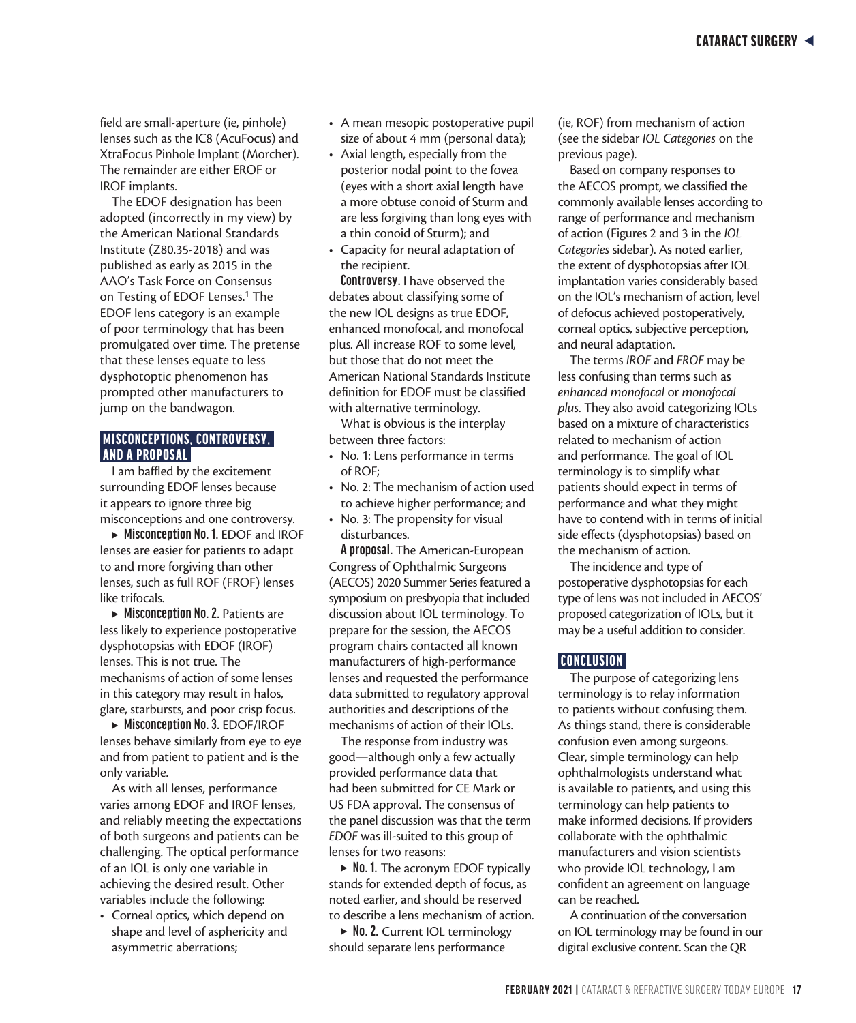field are small-aperture (ie, pinhole) lenses such as the IC8 (AcuFocus) and XtraFocus Pinhole Implant (Morcher). The remainder are either EROF or IROF implants.

The EDOF designation has been adopted (incorrectly in my view) by the American National Standards Institute (Z80.35-2018) and was published as early as 2015 in the AAO's Task Force on Consensus on Testing of EDOF Lenses.<sup>1</sup> The EDOF lens category is an example of poor terminology that has been promulgated over time. The pretense that these lenses equate to less dysphotoptic phenomenon has prompted other manufacturers to jump on the bandwagon.

#### **MISCONCEPTIONS, CONTROVERSY,** AND A PROPOSAL

I am baffled by the excitement surrounding EDOF lenses because it appears to ignore three big misconceptions and one controversy.

<sup>s</sup> **Misconception No. 1.** EDOF and IROF lenses are easier for patients to adapt to and more forgiving than other lenses, such as full ROF (FROF) lenses like trifocals.

► Misconception No. 2. Patients are less likely to experience postoperative dysphotopsias with EDOF (IROF) lenses. This is not true. The mechanisms of action of some lenses in this category may result in halos, glare, starbursts, and poor crisp focus.

<sup>s</sup> **Misconception No. 3.** EDOF/IROF lenses behave similarly from eye to eye and from patient to patient and is the only variable.

As with all lenses, performance varies among EDOF and IROF lenses, and reliably meeting the expectations of both surgeons and patients can be challenging. The optical performance of an IOL is only one variable in achieving the desired result. Other variables include the following:

• Corneal optics, which depend on shape and level of asphericity and asymmetric aberrations;

- A mean mesopic postoperative pupil size of about 4 mm (personal data);
- Axial length, especially from the posterior nodal point to the fovea (eyes with a short axial length have a more obtuse conoid of Sturm and are less forgiving than long eyes with a thin conoid of Sturm); and
- Capacity for neural adaptation of the recipient.

**Controversy.** I have observed the debates about classifying some of the new IOL designs as true EDOF, enhanced monofocal, and monofocal plus. All increase ROF to some level, but those that do not meet the American National Standards Institute definition for EDOF must be classified with alternative terminology.

What is obvious is the interplay between three factors:

- No. 1: Lens performance in terms of ROF;
- No. 2: The mechanism of action used to achieve higher performance; and
- No. 3: The propensity for visual disturbances.

**A proposal.** The American-European Congress of Ophthalmic Surgeons (AECOS) 2020 Summer Series featured a symposium on presbyopia that included discussion about IOL terminology. To prepare for the session, the AECOS program chairs contacted all known manufacturers of high-performance lenses and requested the performance data submitted to regulatory approval authorities and descriptions of the mechanisms of action of their IOLs.

The response from industry was good—although only a few actually provided performance data that had been submitted for CE Mark or US FDA approval. The consensus of the panel discussion was that the term *EDOF* was ill-suited to this group of lenses for two reasons:

▶ **No. 1.** The acronym EDOF typically stands for extended depth of focus, as noted earlier, and should be reserved to describe a lens mechanism of action.

▶ **No. 2.** Current IOL terminology should separate lens performance

(ie, ROF) from mechanism of action (see the sidebar *IOL Categories* on the previous page).

Based on company responses to the AECOS prompt, we classified the commonly available lenses according to range of performance and mechanism of action (Figures 2 and 3 in the *IOL Categories* sidebar). As noted earlier, the extent of dysphotopsias after IOL implantation varies considerably based on the IOL's mechanism of action, level of defocus achieved postoperatively, corneal optics, subjective perception, and neural adaptation.

The terms *IROF* and *FROF* may be less confusing than terms such as *enhanced monofocal* or *monofocal plus*. They also avoid categorizing IOLs based on a mixture of characteristics related to mechanism of action and performance. The goal of IOL terminology is to simplify what patients should expect in terms of performance and what they might have to contend with in terms of initial side effects (dysphotopsias) based on the mechanism of action.

The incidence and type of postoperative dysphotopsias for each type of lens was not included in AECOS' proposed categorization of IOLs, but it may be a useful addition to consider.

#### CONCLUSION

The purpose of categorizing lens terminology is to relay information to patients without confusing them. As things stand, there is considerable confusion even among surgeons. Clear, simple terminology can help ophthalmologists understand what is available to patients, and using this terminology can help patients to make informed decisions. If providers collaborate with the ophthalmic manufacturers and vision scientists who provide IOL technology, I am confident an agreement on language can be reached.

A continuation of the conversation on IOL terminology may be found in our digital exclusive content. Scan the QR